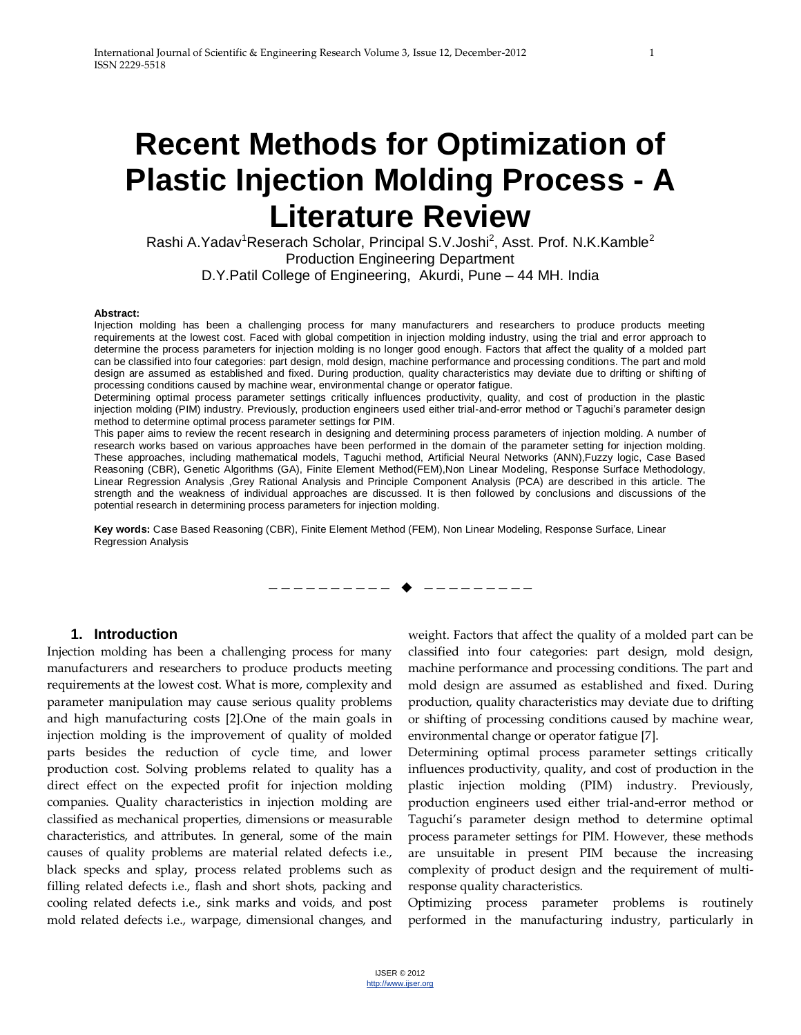# **Recent Methods for Optimization of Plastic Injection Molding Process - A Literature Review**

Rashi A.Yadav<sup>1</sup>Reserach Scholar, Principal S.V.Joshi<sup>2</sup>, Asst. Prof. N.K.Kamble<sup>2</sup> Production Engineering Department D.Y.Patil College of Engineering, Akurdi, Pune – 44 MH. India

#### **Abstract:**

Injection molding has been a challenging process for many manufacturers and researchers to produce products meeting requirements at the lowest cost. Faced with global competition in injection molding industry, using the trial and error approach to determine the process parameters for injection molding is no longer good enough. Factors that affect the quality of a molded part can be classified into four categories: part design, mold design, machine performance and processing conditions. The part and mold design are assumed as established and fixed. During production, quality characteristics may deviate due to drifting or shifting of processing conditions caused by machine wear, environmental change or operator fatigue.

Determining optimal process parameter settings critically influences productivity, quality, and cost of production in the plastic injection molding (PIM) industry. Previously, production engineers used either trial-and-error method or Taguchi's parameter design method to determine optimal process parameter settings for PIM.

This paper aims to review the recent research in designing and determining process parameters of injection molding. A number of research works based on various approaches have been performed in the domain of the parameter setting for injection molding. These approaches, including mathematical models, Taguchi method, Artificial Neural Networks (ANN),Fuzzy logic, Case Based Reasoning (CBR), Genetic Algorithms (GA), Finite Element Method(FEM),Non Linear Modeling, Response Surface Methodology, Linear Regression Analysis ,Grey Rational Analysis and Principle Component Analysis (PCA) are described in this article. The strength and the weakness of individual approaches are discussed. It is then followed by conclusions and discussions of the potential research in determining process parameters for injection molding.

—————————— —————————

**Key words:** Case Based Reasoning (CBR), Finite Element Method (FEM), Non Linear Modeling, Response Surface, Linear Regression Analysis

#### **1. Introduction**

Injection molding has been a challenging process for many manufacturers and researchers to produce products meeting requirements at the lowest cost. What is more, complexity and parameter manipulation may cause serious quality problems and high manufacturing costs [2].One of the main goals in injection molding is the improvement of quality of molded parts besides the reduction of cycle time, and lower production cost. Solving problems related to quality has a direct effect on the expected profit for injection molding companies. Quality characteristics in injection molding are classified as mechanical properties, dimensions or measurable characteristics, and attributes. In general, some of the main causes of quality problems are material related defects i.e., black specks and splay, process related problems such as filling related defects i.e., flash and short shots, packing and cooling related defects i.e., sink marks and voids, and post mold related defects i.e., warpage, dimensional changes, and

weight. Factors that affect the quality of a molded part can be classified into four categories: part design, mold design, machine performance and processing conditions. The part and mold design are assumed as established and fixed. During production, quality characteristics may deviate due to drifting or shifting of processing conditions caused by machine wear, environmental change or operator fatigue [7].

Determining optimal process parameter settings critically influences productivity, quality, and cost of production in the plastic injection molding (PIM) industry. Previously, production engineers used either trial-and-error method or Taguchi's parameter design method to determine optimal process parameter settings for PIM. However, these methods are unsuitable in present PIM because the increasing complexity of product design and the requirement of multiresponse quality characteristics.

Optimizing process parameter problems is routinely performed in the manufacturing industry, particularly in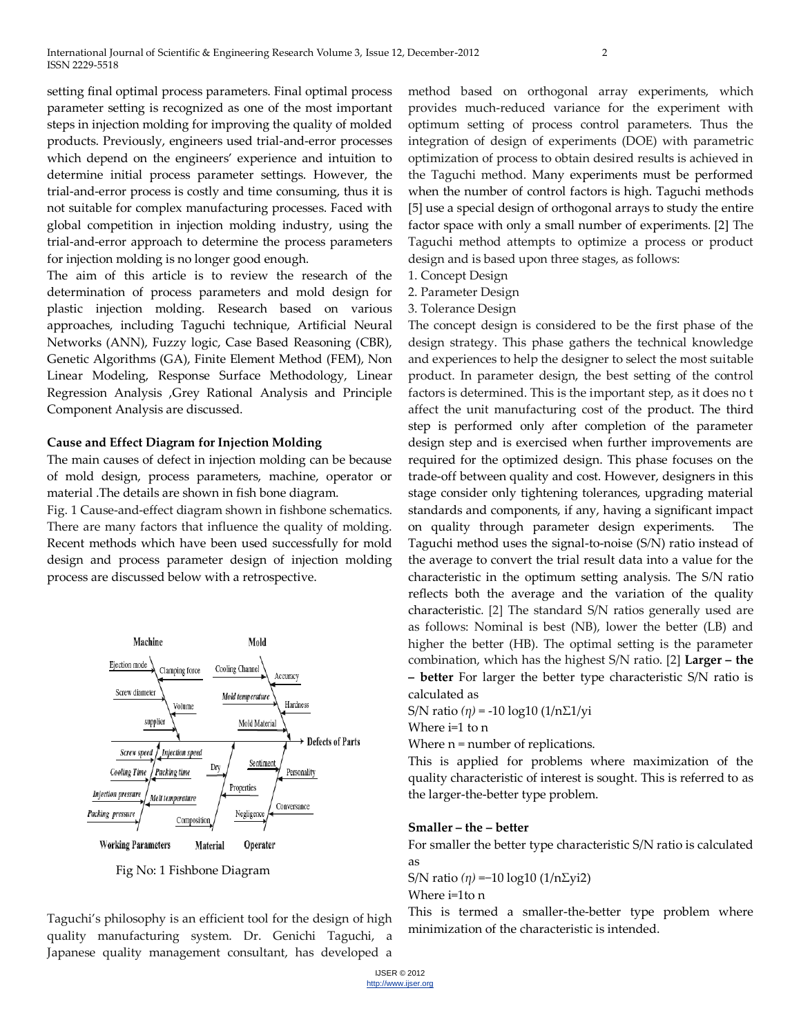setting final optimal process parameters. Final optimal process parameter setting is recognized as one of the most important steps in injection molding for improving the quality of molded products. Previously, engineers used trial-and-error processes which depend on the engineers' experience and intuition to determine initial process parameter settings. However, the trial-and-error process is costly and time consuming, thus it is not suitable for complex manufacturing processes. Faced with global competition in injection molding industry, using the trial-and-error approach to determine the process parameters for injection molding is no longer good enough.

The aim of this article is to review the research of the determination of process parameters and mold design for plastic injection molding. Research based on various approaches, including Taguchi technique, Artificial Neural Networks (ANN), Fuzzy logic, Case Based Reasoning (CBR), Genetic Algorithms (GA), Finite Element Method (FEM), Non Linear Modeling, Response Surface Methodology, Linear Regression Analysis ,Grey Rational Analysis and Principle Component Analysis are discussed.

#### **Cause and Effect Diagram for Injection Molding**

The main causes of defect in injection molding can be because of mold design, process parameters, machine, operator or material .The details are shown in fish bone diagram.

Fig. 1 Cause-and-effect diagram shown in fishbone schematics. There are many factors that influence the quality of molding. Recent methods which have been used successfully for mold design and process parameter design of injection molding process are discussed below with a retrospective.



Fig No: 1 Fishbone Diagram

Taguchi's philosophy is an efficient tool for the design of high quality manufacturing system. Dr. Genichi Taguchi, a Japanese quality management consultant, has developed a

method based on orthogonal array experiments, which provides much-reduced variance for the experiment with optimum setting of process control parameters. Thus the integration of design of experiments (DOE) with parametric optimization of process to obtain desired results is achieved in the Taguchi method. Many experiments must be performed when the number of control factors is high. Taguchi methods [5] use a special design of orthogonal arrays to study the entire factor space with only a small number of experiments*.* [2] The Taguchi method attempts to optimize a process or product design and is based upon three stages, as follows:

- 1. Concept Design
- 2. Parameter Design
- 3. Tolerance Design

The concept design is considered to be the first phase of the design strategy. This phase gathers the technical knowledge and experiences to help the designer to select the most suitable product. In parameter design, the best setting of the control factors is determined. This is the important step, as it does no t affect the unit manufacturing cost of the product. The third step is performed only after completion of the parameter design step and is exercised when further improvements are required for the optimized design. This phase focuses on the trade-off between quality and cost. However, designers in this stage consider only tightening tolerances, upgrading material standards and components, if any, having a significant impact on quality through parameter design experiments. The Taguchi method uses the signal-to-noise (S*/*N) ratio instead of the average to convert the trial result data into a value for the characteristic in the optimum setting analysis. The S*/*N ratio reflects both the average and the variation of the quality characteristic*.* [2] The standard S/N ratios generally used are as follows: Nominal is best (NB), lower the better (LB) and higher the better (HB). The optimal setting is the parameter combination, which has the highest S/N ratio. [2] **Larger – the – better** For larger the better type characteristic S/N ratio is calculated as

S/N ratio *(η)* = -10 log10 (1/nΣ1/yi

Where i=1 to n

Where  $n =$  number of replications.

This is applied for problems where maximization of the quality characteristic of interest is sought. This is referred to as the larger-the-better type problem.

#### **Smaller – the – better**

For smaller the better type characteristic S/N ratio is calculated as

S/N ratio (η) =−10 log10 (1/nΣyi2)

Where i=1to n

This is termed a smaller-the-better type problem where minimization of the characteristic is intended.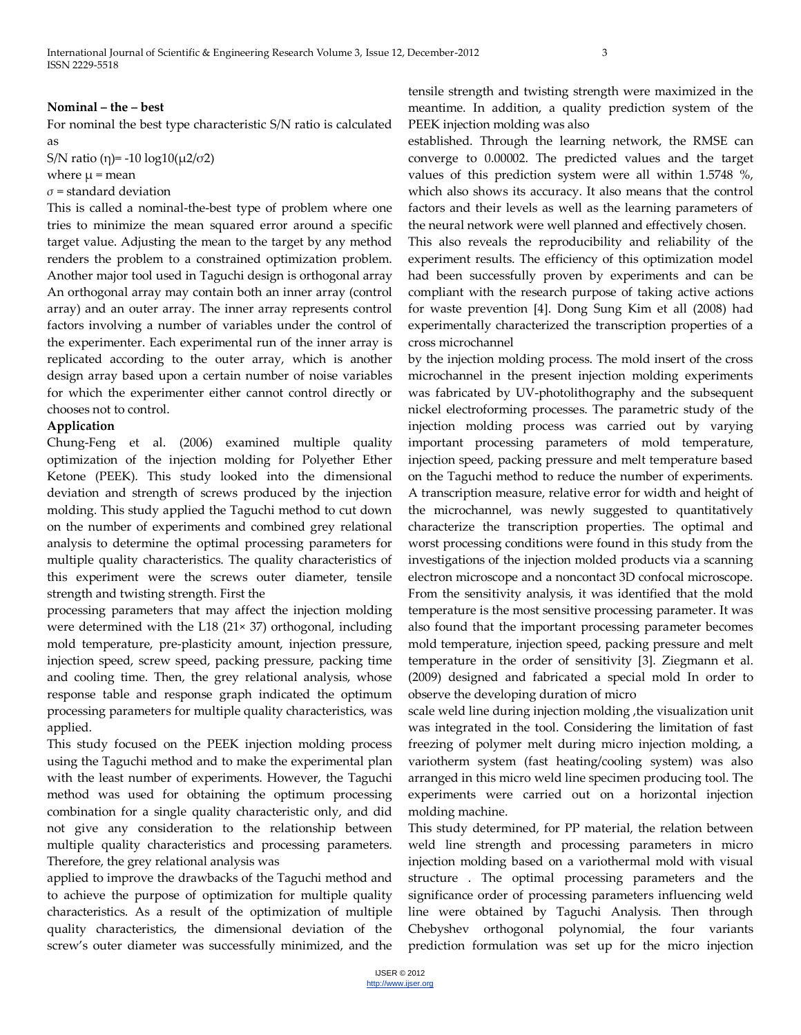#### **Nominal – the – best**

For nominal the best type characteristic S/N ratio is calculated as

S/N ratio (η) = -10 log10( $\mu$ 2/σ2)

where  $\mu$  = mean

*σ* = standard deviation

This is called a nominal-the-best type of problem where one tries to minimize the mean squared error around a specific target value. Adjusting the mean to the target by any method renders the problem to a constrained optimization problem. Another major tool used in Taguchi design is orthogonal array An orthogonal array may contain both an inner array (control array) and an outer array. The inner array represents control factors involving a number of variables under the control of the experimenter. Each experimental run of the inner array is replicated according to the outer array, which is another design array based upon a certain number of noise variables for which the experimenter either cannot control directly or chooses not to control.

## **Application**

Chung-Feng et al. (2006) examined multiple quality optimization of the injection molding for Polyether Ether Ketone (PEEK). This study looked into the dimensional deviation and strength of screws produced by the injection molding. This study applied the Taguchi method to cut down on the number of experiments and combined grey relational analysis to determine the optimal processing parameters for multiple quality characteristics. The quality characteristics of this experiment were the screws outer diameter, tensile strength and twisting strength. First the

processing parameters that may affect the injection molding were determined with the L18 (21× 37) orthogonal, including mold temperature, pre-plasticity amount, injection pressure, injection speed, screw speed, packing pressure, packing time and cooling time. Then, the grey relational analysis, whose response table and response graph indicated the optimum processing parameters for multiple quality characteristics, was applied.

This study focused on the PEEK injection molding process using the Taguchi method and to make the experimental plan with the least number of experiments. However, the Taguchi method was used for obtaining the optimum processing combination for a single quality characteristic only, and did not give any consideration to the relationship between multiple quality characteristics and processing parameters. Therefore, the grey relational analysis was

applied to improve the drawbacks of the Taguchi method and to achieve the purpose of optimization for multiple quality characteristics. As a result of the optimization of multiple quality characteristics, the dimensional deviation of the screw's outer diameter was successfully minimized, and the

tensile strength and twisting strength were maximized in the meantime. In addition, a quality prediction system of the PEEK injection molding was also

established. Through the learning network, the RMSE can converge to 0.00002. The predicted values and the target values of this prediction system were all within 1.5748 %, which also shows its accuracy. It also means that the control factors and their levels as well as the learning parameters of the neural network were well planned and effectively chosen.

This also reveals the reproducibility and reliability of the experiment results. The efficiency of this optimization model had been successfully proven by experiments and can be compliant with the research purpose of taking active actions for waste prevention [4]. Dong Sung Kim et all (2008) had experimentally characterized the transcription properties of a cross microchannel

by the injection molding process. The mold insert of the cross microchannel in the present injection molding experiments was fabricated by UV-photolithography and the subsequent nickel electroforming processes. The parametric study of the injection molding process was carried out by varying important processing parameters of mold temperature, injection speed, packing pressure and melt temperature based on the Taguchi method to reduce the number of experiments. A transcription measure, relative error for width and height of the microchannel, was newly suggested to quantitatively characterize the transcription properties. The optimal and worst processing conditions were found in this study from the investigations of the injection molded products via a scanning electron microscope and a noncontact 3D confocal microscope. From the sensitivity analysis, it was identified that the mold temperature is the most sensitive processing parameter. It was also found that the important processing parameter becomes mold temperature, injection speed, packing pressure and melt temperature in the order of sensitivity [3]. Ziegmann et al. (2009) designed and fabricated a special mold In order to observe the developing duration of micro

scale weld line during injection molding ,the visualization unit was integrated in the tool. Considering the limitation of fast freezing of polymer melt during micro injection molding, a variotherm system (fast heating/cooling system) was also arranged in this micro weld line specimen producing tool. The experiments were carried out on a horizontal injection molding machine.

This study determined, for PP material, the relation between weld line strength and processing parameters in micro injection molding based on a variothermal mold with visual structure . The optimal processing parameters and the significance order of processing parameters influencing weld line were obtained by Taguchi Analysis. Then through Chebyshev orthogonal polynomial, the four variants prediction formulation was set up for the micro injection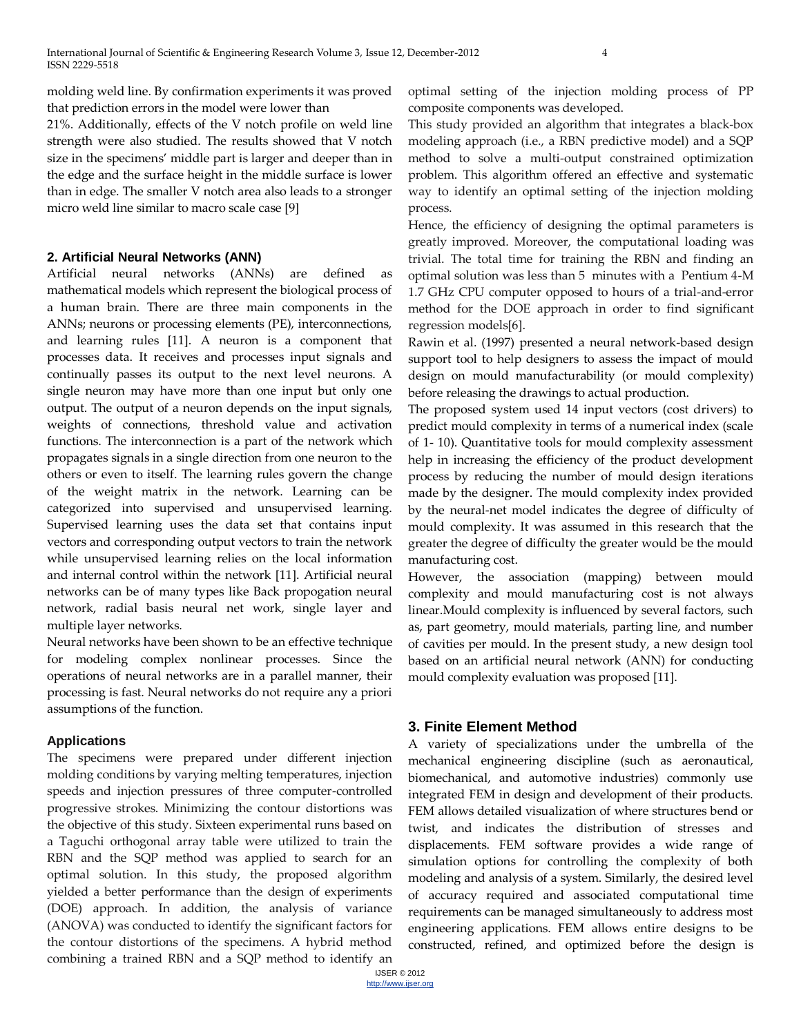molding weld line. By confirmation experiments it was proved that prediction errors in the model were lower than

21%. Additionally, effects of the V notch profile on weld line strength were also studied. The results showed that V notch size in the specimens' middle part is larger and deeper than in the edge and the surface height in the middle surface is lower than in edge. The smaller V notch area also leads to a stronger micro weld line similar to macro scale case [9]

# **2. Artificial Neural Networks (ANN)**

Artificial neural networks (ANNs) are defined as mathematical models which represent the biological process of a human brain. There are three main components in the ANNs; neurons or processing elements (PE), interconnections, and learning rules [11]. A neuron is a component that processes data. It receives and processes input signals and continually passes its output to the next level neurons. A single neuron may have more than one input but only one output. The output of a neuron depends on the input signals, weights of connections, threshold value and activation functions. The interconnection is a part of the network which propagates signals in a single direction from one neuron to the others or even to itself. The learning rules govern the change of the weight matrix in the network. Learning can be categorized into supervised and unsupervised learning. Supervised learning uses the data set that contains input vectors and corresponding output vectors to train the network while unsupervised learning relies on the local information and internal control within the network [11]. Artificial neural networks can be of many types like Back propogation neural network, radial basis neural net work, single layer and multiple layer networks.

Neural networks have been shown to be an effective technique for modeling complex nonlinear processes. Since the operations of neural networks are in a parallel manner, their processing is fast. Neural networks do not require any a priori assumptions of the function.

# **Applications**

The specimens were prepared under different injection molding conditions by varying melting temperatures, injection speeds and injection pressures of three computer-controlled progressive strokes. Minimizing the contour distortions was the objective of this study. Sixteen experimental runs based on a Taguchi orthogonal array table were utilized to train the RBN and the SQP method was applied to search for an optimal solution. In this study, the proposed algorithm yielded a better performance than the design of experiments (DOE) approach. In addition, the analysis of variance (ANOVA) was conducted to identify the significant factors for the contour distortions of the specimens. A hybrid method combining a trained RBN and a SQP method to identify an

optimal setting of the injection molding process of PP composite components was developed.

This study provided an algorithm that integrates a black-box modeling approach (i.e., a RBN predictive model) and a SQP method to solve a multi-output constrained optimization problem. This algorithm offered an effective and systematic way to identify an optimal setting of the injection molding process.

Hence, the efficiency of designing the optimal parameters is greatly improved. Moreover, the computational loading was trivial. The total time for training the RBN and finding an optimal solution was less than 5 minutes with a Pentium 4-M 1.7 GHz CPU computer opposed to hours of a trial-and-error method for the DOE approach in order to find significant regression models[6].

Rawin et al. (1997) presented a neural network-based design support tool to help designers to assess the impact of mould design on mould manufacturability (or mould complexity) before releasing the drawings to actual production.

The proposed system used 14 input vectors (cost drivers) to predict mould complexity in terms of a numerical index (scale of 1- 10). Quantitative tools for mould complexity assessment help in increasing the efficiency of the product development process by reducing the number of mould design iterations made by the designer. The mould complexity index provided by the neural-net model indicates the degree of difficulty of mould complexity. It was assumed in this research that the greater the degree of difficulty the greater would be the mould manufacturing cost.

However, the association (mapping) between mould complexity and mould manufacturing cost is not always linear.Mould complexity is influenced by several factors, such as, part geometry, mould materials, parting line, and number of cavities per mould. In the present study, a new design tool based on an artificial neural network (ANN) for conducting mould complexity evaluation was proposed [11].

# **3. Finite Element Method**

A variety of specializations under the umbrella of the mechanical engineering discipline (such as aeronautical, biomechanical, and automotive industries) commonly use integrated FEM in design and development of their products. FEM allows detailed visualization of where structures bend or twist, and indicates the distribution of stresses and displacements. FEM software provides a wide range of simulation options for controlling the complexity of both modeling and analysis of a system. Similarly, the desired level of accuracy required and associated computational time requirements can be managed simultaneously to address most engineering applications. FEM allows entire designs to be constructed, refined, and optimized before the design is

IJSER © 2012 http://www.ijser.org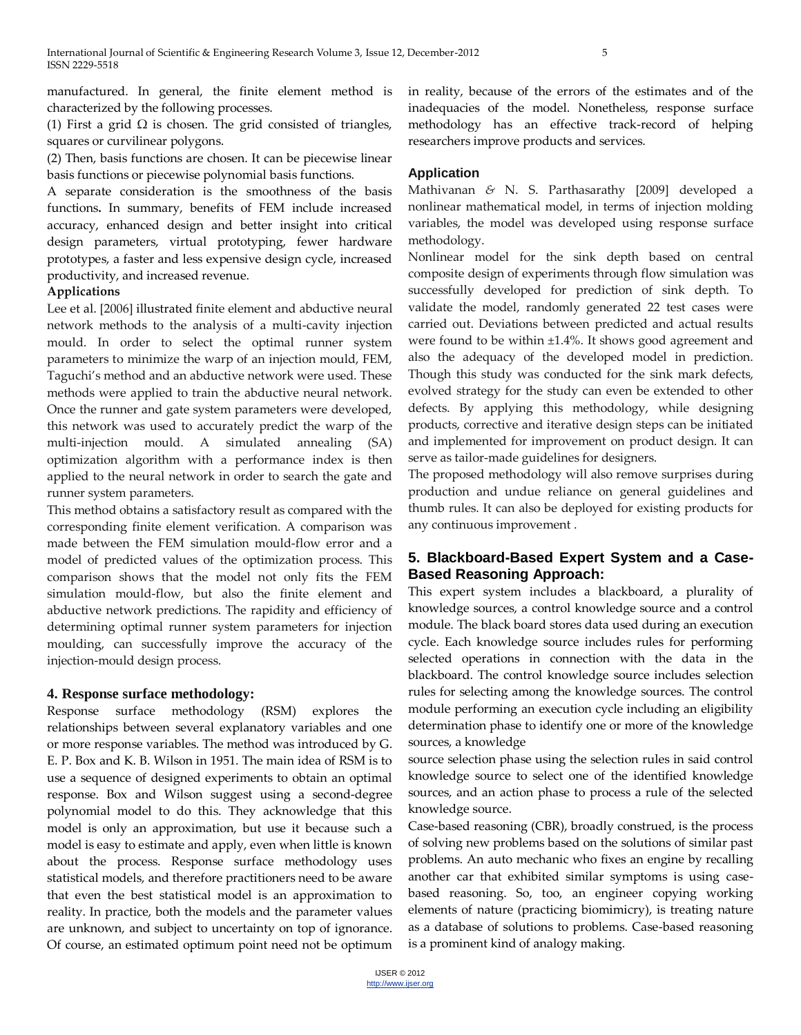manufactured. In general, the finite element method is characterized by the following processes.

(1) First a grid  $\Omega$  is chosen. The grid consisted of triangles, squares or curvilinear polygons.

(2) Then, basis functions are chosen. It can be piecewise linear basis functions or piecewise polynomial basis functions.

A separate consideration is the smoothness of the basis functions**.** In summary, benefits of FEM include increased accuracy, enhanced design and better insight into critical design parameters, virtual prototyping, fewer hardware prototypes, a faster and less expensive design cycle, increased productivity, and increased revenue.

## **Applications**

Lee et al. [2006] illustrated finite element and abductive neural network methods to the analysis of a multi-cavity injection mould. In order to select the optimal runner system parameters to minimize the warp of an injection mould, FEM, Taguchi's method and an abductive network were used. These methods were applied to train the abductive neural network. Once the runner and gate system parameters were developed, this network was used to accurately predict the warp of the multi-injection mould. A simulated annealing (SA) optimization algorithm with a performance index is then applied to the neural network in order to search the gate and runner system parameters.

This method obtains a satisfactory result as compared with the corresponding finite element verification. A comparison was made between the FEM simulation mould-flow error and a model of predicted values of the optimization process. This comparison shows that the model not only fits the FEM simulation mould-flow, but also the finite element and abductive network predictions. The rapidity and efficiency of determining optimal runner system parameters for injection moulding, can successfully improve the accuracy of the injection-mould design process.

## **4. Response surface methodology:**

Response surface methodology (RSM) explores the relationships between several explanatory variables and one or more response variables. The method was introduced by G. E. P. Box and K. B. Wilson in 1951. The main idea of RSM is to use a sequence of designed experiments to obtain an optimal response. Box and Wilson suggest using a second-degree polynomial model to do this. They acknowledge that this model is only an approximation, but use it because such a model is easy to estimate and apply, even when little is known about the process. Response surface methodology uses statistical models, and therefore practitioners need to be aware that even the best statistical model is an approximation to reality. In practice, both the models and the parameter values are unknown, and subject to uncertainty on top of ignorance. Of course, an estimated optimum point need not be optimum in reality, because of the errors of the estimates and of the inadequacies of the model. Nonetheless, response surface methodology has an effective track-record of helping researchers improve products and services.

# **Application**

Mathivanan *&* N. S. Parthasarathy [2009] developed a nonlinear mathematical model, in terms of injection molding variables, the model was developed using response surface methodology.

Nonlinear model for the sink depth based on central composite design of experiments through flow simulation was successfully developed for prediction of sink depth. To validate the model, randomly generated 22 test cases were carried out. Deviations between predicted and actual results were found to be within ±1.4%. It shows good agreement and also the adequacy of the developed model in prediction. Though this study was conducted for the sink mark defects, evolved strategy for the study can even be extended to other defects. By applying this methodology, while designing products, corrective and iterative design steps can be initiated and implemented for improvement on product design. It can serve as tailor-made guidelines for designers.

The proposed methodology will also remove surprises during production and undue reliance on general guidelines and thumb rules. It can also be deployed for existing products for any continuous improvement .

# **5. Blackboard-Based Expert System and a Case-Based Reasoning Approach:**

This expert system includes a blackboard, a plurality of knowledge sources, a control knowledge source and a control module. The black board stores data used during an execution cycle. Each knowledge source includes rules for performing selected operations in connection with the data in the blackboard. The control knowledge source includes selection rules for selecting among the knowledge sources. The control module performing an execution cycle including an eligibility determination phase to identify one or more of the knowledge sources, a knowledge

source selection phase using the selection rules in said control knowledge source to select one of the identified knowledge sources, and an action phase to process a rule of the selected knowledge source.

Case-based reasoning (CBR), broadly construed, is the process of solving new problems based on the solutions of similar past problems. An auto mechanic who fixes an engine by recalling another car that exhibited similar symptoms is using casebased reasoning. So, too, an engineer copying working elements of nature (practicing biomimicry), is treating nature as a database of solutions to problems. Case-based reasoning is a prominent kind of analogy making.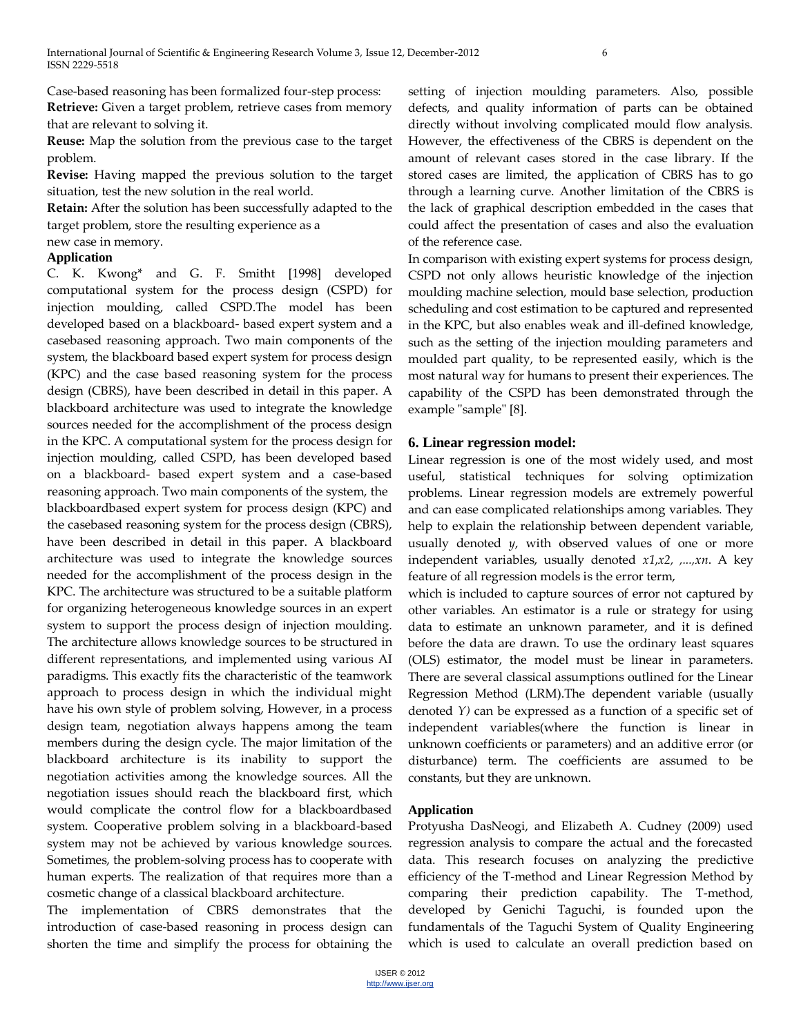Case-based reasoning has been formalized four-step process: **Retrieve:** Given a target problem, retrieve cases from memory that are relevant to solving it.

**Reuse:** Map the solution from the previous case to the target problem.

**Revise:** Having mapped the previous solution to the target situation, test the new solution in the real world.

**Retain:** After the solution has been successfully adapted to the target problem, store the resulting experience as a

new case in memory.

# **Application**

C. K. Kwong\* and G. F. Smitht [1998] developed computational system for the process design (CSPD) for injection moulding, called CSPD.The model has been developed based on a blackboard- based expert system and a casebased reasoning approach. Two main components of the system, the blackboard based expert system for process design (KPC) and the case based reasoning system for the process design (CBRS), have been described in detail in this paper. A blackboard architecture was used to integrate the knowledge sources needed for the accomplishment of the process design in the KPC. A computational system for the process design for injection moulding, called CSPD, has been developed based on a blackboard- based expert system and a case-based reasoning approach. Two main components of the system, the blackboardbased expert system for process design (KPC) and the casebased reasoning system for the process design (CBRS), have been described in detail in this paper. A blackboard architecture was used to integrate the knowledge sources needed for the accomplishment of the process design in the KPC. The architecture was structured to be a suitable platform for organizing heterogeneous knowledge sources in an expert system to support the process design of injection moulding. The architecture allows knowledge sources to be structured in different representations, and implemented using various AI paradigms. This exactly fits the characteristic of the teamwork approach to process design in which the individual might have his own style of problem solving, However, in a process design team, negotiation always happens among the team members during the design cycle. The major limitation of the blackboard architecture is its inability to support the negotiation activities among the knowledge sources. All the negotiation issues should reach the blackboard first, which would complicate the control flow for a blackboardbased system. Cooperative problem solving in a blackboard-based system may not be achieved by various knowledge sources. Sometimes, the problem-solving process has to cooperate with human experts. The realization of that requires more than a cosmetic change of a classical blackboard architecture.

The implementation of CBRS demonstrates that the introduction of case-based reasoning in process design can shorten the time and simplify the process for obtaining the setting of injection moulding parameters. Also, possible defects, and quality information of parts can be obtained directly without involving complicated mould flow analysis. However, the effectiveness of the CBRS is dependent on the amount of relevant cases stored in the case library. If the stored cases are limited, the application of CBRS has to go through a learning curve. Another limitation of the CBRS is the lack of graphical description embedded in the cases that could affect the presentation of cases and also the evaluation of the reference case.

In comparison with existing expert systems for process design, CSPD not only allows heuristic knowledge of the injection moulding machine selection, mould base selection, production scheduling and cost estimation to be captured and represented in the KPC, but also enables weak and ill-defined knowledge, such as the setting of the injection moulding parameters and moulded part quality, to be represented easily, which is the most natural way for humans to present their experiences. The capability of the CSPD has been demonstrated through the example "sample" [8].

# **6. Linear regression model:**

Linear regression is one of the most widely used, and most useful, statistical techniques for solving optimization problems. Linear regression models are extremely powerful and can ease complicated relationships among variables. They help to explain the relationship between dependent variable, usually denoted *y*, with observed values of one or more independent variables, usually denoted *x1*,*x2, ,...,xn*. A key feature of all regression models is the error term,

which is included to capture sources of error not captured by other variables. An estimator is a rule or strategy for using data to estimate an unknown parameter, and it is defined before the data are drawn. To use the ordinary least squares (OLS) estimator, the model must be linear in parameters. There are several classical assumptions outlined for the Linear Regression Method (LRM).The dependent variable (usually denoted *Y)* can be expressed as a function of a specific set of independent variables(where the function is linear in unknown coefficients or parameters) and an additive error (or disturbance) term. The coefficients are assumed to be constants, but they are unknown.

## **Application**

Protyusha DasNeogi, and Elizabeth A. Cudney (2009) used regression analysis to compare the actual and the forecasted data. This research focuses on analyzing the predictive efficiency of the T-method and Linear Regression Method by comparing their prediction capability. The T-method, developed by Genichi Taguchi, is founded upon the fundamentals of the Taguchi System of Quality Engineering which is used to calculate an overall prediction based on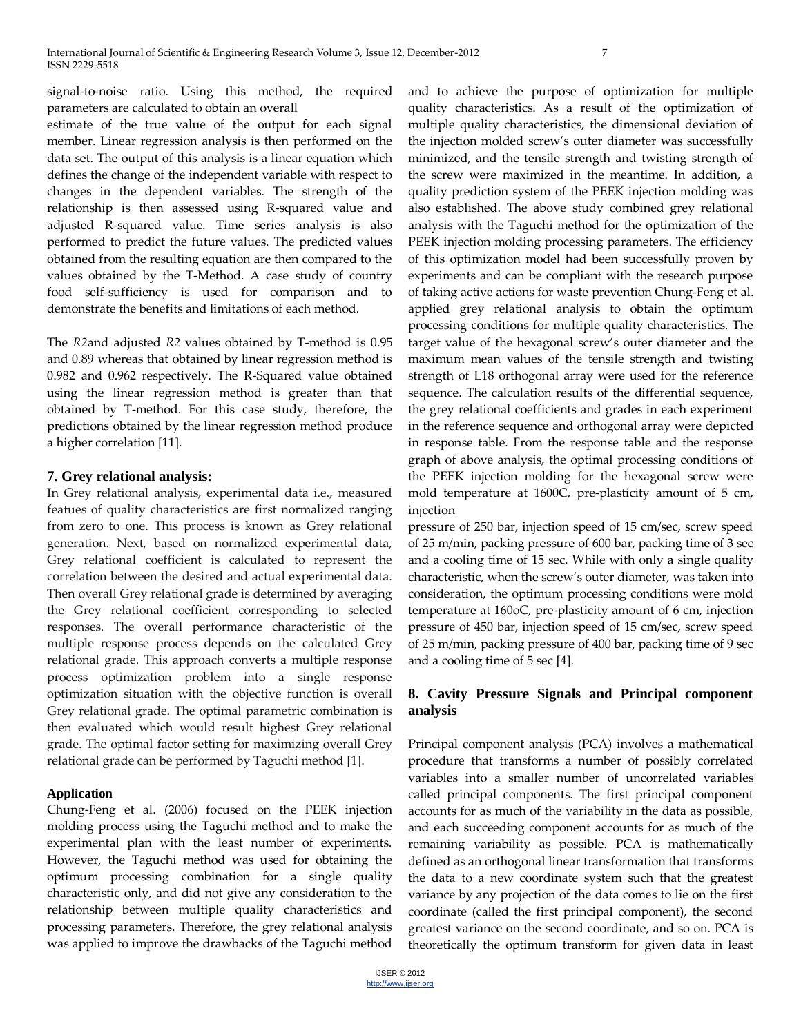signal-to-noise ratio. Using this method, the required parameters are calculated to obtain an overall

estimate of the true value of the output for each signal member. Linear regression analysis is then performed on the data set. The output of this analysis is a linear equation which defines the change of the independent variable with respect to changes in the dependent variables. The strength of the relationship is then assessed using R-squared value and adjusted R-squared value. Time series analysis is also performed to predict the future values. The predicted values obtained from the resulting equation are then compared to the values obtained by the T-Method. A case study of country food self-sufficiency is used for comparison and to demonstrate the benefits and limitations of each method.

The *R2*and adjusted *R2* values obtained by T-method is 0.95 and 0.89 whereas that obtained by linear regression method is 0.982 and 0.962 respectively. The R-Squared value obtained using the linear regression method is greater than that obtained by T-method. For this case study, therefore, the predictions obtained by the linear regression method produce a higher correlation [11].

## **7. Grey relational analysis:**

In Grey relational analysis, experimental data i.e., measured featues of quality characteristics are first normalized ranging from zero to one. This process is known as Grey relational generation. Next, based on normalized experimental data, Grey relational coefficient is calculated to represent the correlation between the desired and actual experimental data. Then overall Grey relational grade is determined by averaging the Grey relational coefficient corresponding to selected responses. The overall performance characteristic of the multiple response process depends on the calculated Grey relational grade. This approach converts a multiple response process optimization problem into a single response optimization situation with the objective function is overall Grey relational grade. The optimal parametric combination is then evaluated which would result highest Grey relational grade. The optimal factor setting for maximizing overall Grey relational grade can be performed by Taguchi method [1].

## **Application**

Chung-Feng et al. (2006) focused on the PEEK injection molding process using the Taguchi method and to make the experimental plan with the least number of experiments. However, the Taguchi method was used for obtaining the optimum processing combination for a single quality characteristic only, and did not give any consideration to the relationship between multiple quality characteristics and processing parameters. Therefore, the grey relational analysis was applied to improve the drawbacks of the Taguchi method and to achieve the purpose of optimization for multiple quality characteristics. As a result of the optimization of multiple quality characteristics, the dimensional deviation of the injection molded screw's outer diameter was successfully minimized, and the tensile strength and twisting strength of the screw were maximized in the meantime. In addition, a quality prediction system of the PEEK injection molding was also established. The above study combined grey relational analysis with the Taguchi method for the optimization of the PEEK injection molding processing parameters. The efficiency of this optimization model had been successfully proven by experiments and can be compliant with the research purpose of taking active actions for waste prevention Chung-Feng et al. applied grey relational analysis to obtain the optimum processing conditions for multiple quality characteristics. The target value of the hexagonal screw's outer diameter and the maximum mean values of the tensile strength and twisting strength of L18 orthogonal array were used for the reference sequence. The calculation results of the differential sequence, the grey relational coefficients and grades in each experiment in the reference sequence and orthogonal array were depicted in response table. From the response table and the response graph of above analysis, the optimal processing conditions of the PEEK injection molding for the hexagonal screw were mold temperature at 1600C, pre-plasticity amount of 5 cm, injection

pressure of 250 bar, injection speed of 15 cm/sec, screw speed of 25 m/min, packing pressure of 600 bar, packing time of 3 sec and a cooling time of 15 sec. While with only a single quality characteristic, when the screw's outer diameter, was taken into consideration, the optimum processing conditions were mold temperature at 160oC, pre-plasticity amount of 6 cm, injection pressure of 450 bar, injection speed of 15 cm/sec, screw speed of 25 m/min, packing pressure of 400 bar, packing time of 9 sec and a cooling time of 5 sec [4].

# **8. Cavity Pressure Signals and Principal component analysis**

Principal component analysis (PCA) involves a mathematical procedure that transforms a number of possibly correlated variables into a smaller number of uncorrelated variables called principal components. The first principal component accounts for as much of the variability in the data as possible, and each succeeding component accounts for as much of the remaining variability as possible. PCA is mathematically defined as an orthogonal linear transformation that transforms the data to a new coordinate system such that the greatest variance by any projection of the data comes to lie on the first coordinate (called the first principal component), the second greatest variance on the second coordinate, and so on. PCA is theoretically the optimum transform for given data in least